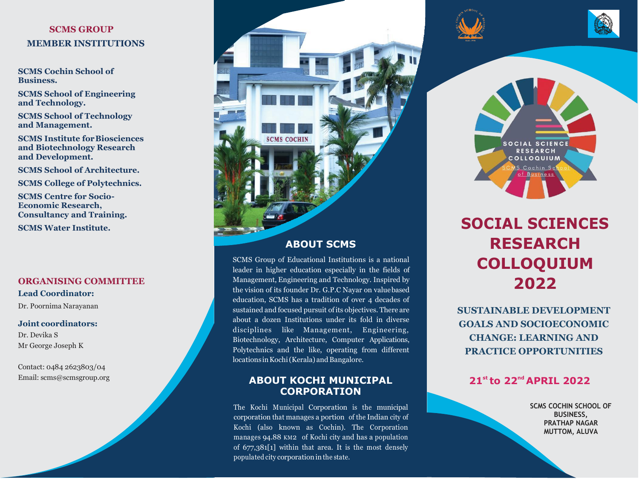## **SCMS GROUP MEMBER INSTITUTIONS**

**SCMS Cochin School of Business.**

**SCMS School of Engineering and Technology.**

**SCMS School of Technology and Management.**

**SCMS Institute forBiosciences and Biotechnology Research and Development.**

**SCMS School of Architecture.** 

**SCMS College of Polytechnics.**

**SCMS Centre for Socio-Economic Research, Consultancy and Training.**

**SCMS Water Institute.**

## **ORGANISING COMMITTEE**

**Lead Coordinator:**

Dr. Poornima Narayanan

## **Joint coordinators:**

Dr. Devika S Mr George Joseph K

Contact: 0484 2623803/04 Email: [scms@scmsgroup.org](mailto:scms@scmsgroup.org)



## **ABOUT SCMS**

SCMS Group of Educational Institutions is a national leader in higher education especially in the fields of Management, Engineering and Technology. Inspired by the vision of its founder Dr. G.P.C Nayar on valuebased education, SCMS has a tradition of over 4 decades of sustained and focused pursuit of its objectives. There are about a dozen Institutions under its fold in diverse disciplines like Management, Engineering, Biotechnology, Architecture, Computer Applications, Polytechnics and the like, operating from different locations in Kochi (Kerala) and Bangalore.

## **ABOUT KOCHI MUNICIPAL CORPORATION**

The Kochi Municipal Corporation is the municipal corporation that manages a portion of the Indian city of Kochi (also known as Cochin). The Corporation manages 94.88 KM2 of Kochi city and has a population of 677,381[1] within that area. It is the most densely populated city corporation in the state.







# **SOCIAL SCIENCES RESEARCH COLLOQUIUM 2022**

**SUSTAINABLE DEVELOPMENT GOALS AND SOCIOECONOMIC CHANGE: LEARNING AND PRACTICE OPPORTUNITIES**

# **21st to 22nd APRIL 2022**

**SCMS COCHIN SCHOOL OF BUSINESS, PRATHAP NAGAR MUTTOM, ALUVA**